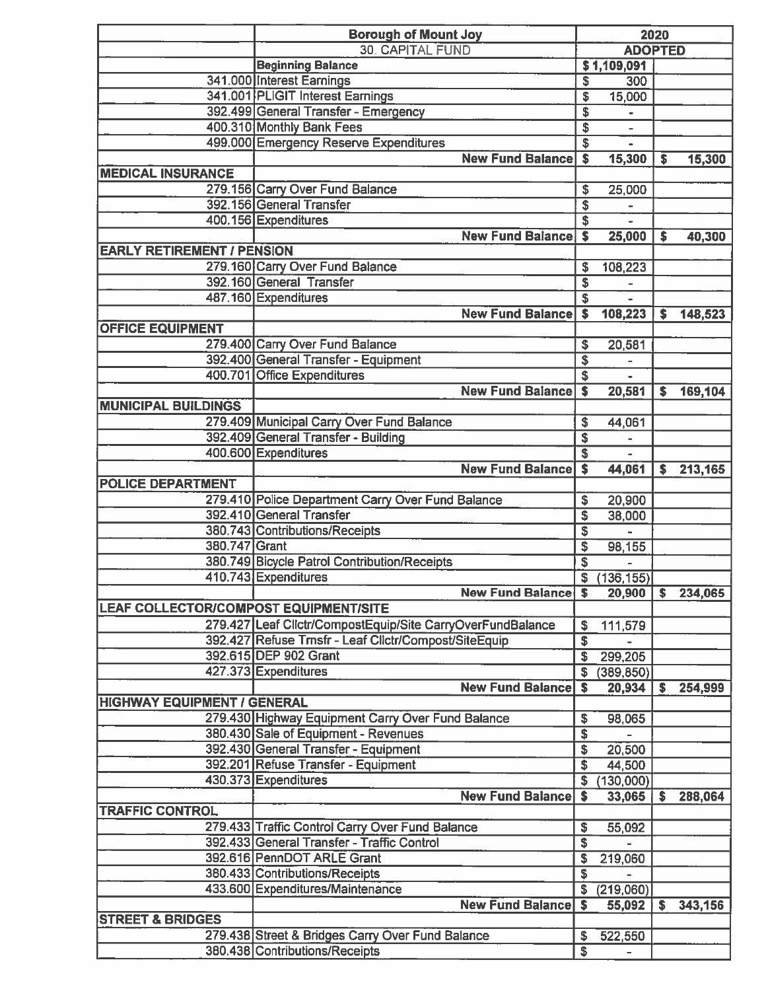|                                       | <b>Borough of Mount Joy</b>                                |                                      | 2020           |     |         |
|---------------------------------------|------------------------------------------------------------|--------------------------------------|----------------|-----|---------|
|                                       | <b>30. CAPITAL FUND</b>                                    |                                      | <b>ADOPTED</b> |     |         |
|                                       | <b>Beginning Balance</b>                                   | \$1,109,091                          |                |     |         |
|                                       | 341.000 Interest Earnings                                  | \$                                   | 300            |     |         |
|                                       | 341.001 PLIGIT Interest Earnings                           | \$                                   | 15,000         |     |         |
|                                       | 392.499 General Transfer - Emergency                       | \$                                   |                |     |         |
|                                       | 400.310 Monthly Bank Fees                                  | \$                                   |                |     |         |
|                                       | 499.000 Emergency Reserve Expenditures                     | \$                                   |                |     |         |
|                                       | <b>New Fund Balance</b>                                    | $\overline{\mathbf{s}}$              | 15,300         | s   | 15,300  |
| <b>MEDICAL INSURANCE</b>              |                                                            |                                      |                |     |         |
|                                       | 279.156 Carry Over Fund Balance                            | \$                                   | 25,000         |     |         |
|                                       | 392.156 General Transfer                                   | $\overline{\boldsymbol{\mathsf{s}}}$ |                |     |         |
|                                       | 400.156 Expenditures                                       | \$                                   |                |     |         |
|                                       | <b>New Fund Balance</b>                                    | $\overline{\bullet}$                 | 25,000         | \$  | 40,300  |
| <b>EARLY RETIREMENT / PENSION</b>     |                                                            |                                      |                |     |         |
|                                       | 279.160 Carry Over Fund Balance                            | \$                                   | 108,223        |     |         |
|                                       | 392.160 General Transfer                                   | \$                                   | $\blacksquare$ |     |         |
|                                       | 487.160 Expenditures                                       | \$                                   | ÷              |     |         |
|                                       | <b>New Fund Balance</b>                                    | $\overline{\bullet}$                 | 108,223        | \$  | 148,523 |
| <b>OFFICE EQUIPMENT</b>               |                                                            |                                      |                |     |         |
|                                       | 279.400 Carry Over Fund Balance                            | \$                                   | 20,581         |     |         |
|                                       | 392.400 General Transfer - Equipment                       | $\overline{\mathbf{s}}$              |                |     |         |
|                                       | 400.701 Office Expenditures                                | \$                                   |                |     |         |
|                                       | <b>New Fund Balance</b>                                    |                                      |                |     |         |
|                                       |                                                            | s                                    | 20,581         | s.  | 169,104 |
| <b>MUNICIPAL BUILDINGS</b>            |                                                            |                                      |                |     |         |
|                                       | 279.409 Municipal Carry Over Fund Balance                  | \$                                   | 44,061         |     |         |
|                                       | 392.409 General Transfer - Building                        | \$                                   |                |     |         |
|                                       | 400.600 Expenditures                                       | \$                                   |                |     |         |
|                                       | <b>New Fund Balance</b>                                    | \$                                   | 44,061         | s   | 213,165 |
| <b>POLICE DEPARTMENT</b>              |                                                            |                                      |                |     |         |
|                                       | 279.410 Police Department Carry Over Fund Balance          | S                                    | 20,900         |     |         |
|                                       | 392.410 General Transfer                                   | \$                                   | 38,000         |     |         |
|                                       | 380.743 Contributions/Receipts                             | \$                                   |                |     |         |
| 380.747 Grant                         |                                                            | \$                                   | 98,155         |     |         |
|                                       | 380.749 Bicycle Patrol Contribution/Receipts               | \$                                   |                |     |         |
|                                       | 410.743 Expenditures                                       | \$                                   | (136, 155)     |     |         |
|                                       | <b>New Fund Balance \$</b>                                 |                                      | 20,900         | \$. | 234,065 |
| LEAF COLLECTOR/COMPOST EQUIPMENT/SITE |                                                            |                                      |                |     |         |
|                                       | 279.427 Leaf Clictr/CompostEquip/Site CarryOverFundBalance | \$                                   | 111,579        |     |         |
|                                       | 392.427 Refuse Trnsfr - Leaf Clictr/Compost/SiteEquip      | \$                                   |                |     |         |
|                                       | 392.615 DEP 902 Grant                                      | \$                                   | 299,205        |     |         |
|                                       | 427.373 Expenditures                                       | S                                    | (389, 850)     |     |         |
|                                       | <b>New Fund Balance</b>                                    | S                                    | 20,934         | s   | 254,999 |
| <b>HIGHWAY EQUIPMENT / GENERAL</b>    |                                                            |                                      |                |     |         |
|                                       | 279.430 Highway Equipment Carry Over Fund Balance          | \$                                   | 98,065         |     |         |
|                                       | 380.430 Sale of Equipment - Revenues                       | \$                                   |                |     |         |
|                                       | 392.430 General Transfer - Equipment                       | \$                                   | 20,500         |     |         |
|                                       | 392.201 Refuse Transfer - Equipment                        | $\overline{\mathbb{S}}$              | 44,500         |     |         |
|                                       | 430.373 Expenditures                                       | \$                                   | (130,000)      |     |         |
|                                       | <b>New Fund Balance</b>                                    | S                                    |                | s   |         |
| <b>TRAFFIC CONTROL</b>                |                                                            |                                      | 33,065         |     | 288,064 |
|                                       |                                                            |                                      |                |     |         |
|                                       | 279.433 Traffic Control Carry Over Fund Balance            | \$                                   | 55,092         |     |         |
|                                       | 392.433 General Transfer - Traffic Control                 | \$                                   |                |     |         |
|                                       | 392.616 PennDOT ARLE Grant                                 | \$                                   | 219,060        |     |         |
|                                       | 380.433 Contributions/Receipts                             | \$                                   |                |     |         |
|                                       | 433.600 Expenditures/Maintenance                           | \$                                   | (219,060)      |     |         |
|                                       | <b>New Fund Balance</b>                                    | S                                    | 55,092         | s.  | 343,156 |
| <b>STREET &amp; BRIDGES</b>           |                                                            |                                      |                |     |         |
|                                       | 279.438 Street & Bridges Carry Over Fund Balance           | \$                                   | 522,550        |     |         |
|                                       | 380.438 Contributions/Receipts                             | $\overline{\mathbf{s}}$              |                |     |         |
|                                       |                                                            |                                      |                |     |         |